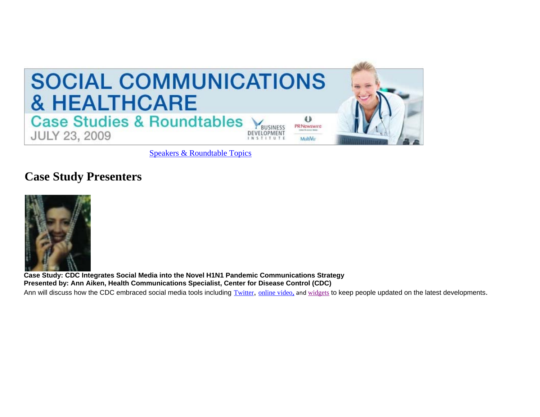

Speakers & Roundtable Topics

# **Case Study Presenters**



**Case Study: CDC Integrates Social Media into the Novel H1N1 Pandemic Communications Strategy Presented by: Ann Aiken, Health Communications Specialist, Center for Disease Control (CDC)**

Ann will discuss how the CDC embraced social media tools including Twitter, online video, and widgets to keep people updated on the latest developments.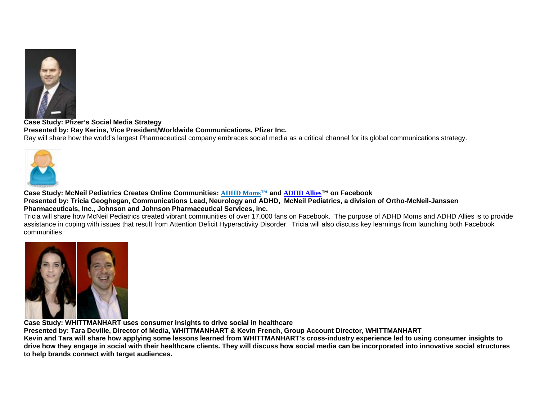

**Case Study: Pfizer's Social Media Strategy Presented by: Ray Kerins, Vice President/Worldwide Communications, Pfizer Inc.** Ray will share how the world's largest Pharmaceutical company embraces social media as a critical channel for its global communications strategy.



**Case Study: McNeil Pediatrics Creates Online Communities: ADHD Moms™ and ADHD Allies™ on Facebook Presented by: Tricia Geoghegan, Communications Lead, Neurology and ADHD, McNeil Pediatrics, a division of Ortho-McNeil-Janssen Pharmaceuticals, Inc., Johnson and Johnson Pharmaceutical Services, inc.** 

Tricia will share how McNeil Pediatrics created vibrant communities of over 17,000 fans on Facebook. The purpose of ADHD Moms and ADHD Allies is to provide assistance in coping with issues that result from Attention Deficit Hyperactivity Disorder. Tricia will also discuss key learnings from launching both Facebook communities.



**Case Study: WHITTMANHART uses consumer insights to drive social in healthcare**

**Presented by: Tara Deville, Director of Media, WHITTMANHART & Kevin French, Group Account Director, WHITTMANHART** 

**Kevin and Tara will share how applying some lessons learned from WHITTMANHART's cross-industry experience led to using consumer insights to drive how they engage in social with their healthcare clients. They will discuss how social media can be incorporated into innovative social structures to help brands connect with target audiences.**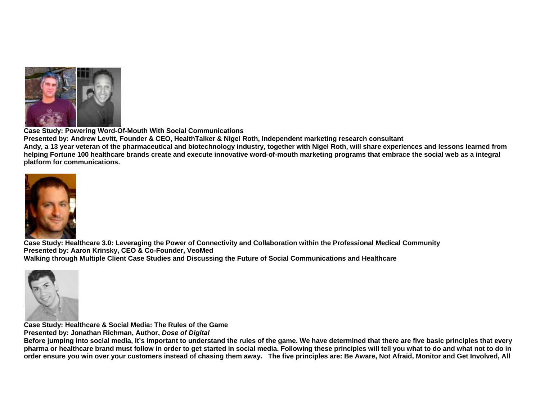

**Case Study: Powering Word-Of-Mouth With Social Communications**

**Presented by: Andrew Levitt, Founder & CEO, HealthTalker & Nigel Roth, Independent marketing research consultant Andy, a 13 year veteran of the pharmaceutical and biotechnology industry, together with Nigel Roth, will share experiences and lessons learned from helping Fortune 100 healthcare brands create and execute innovative word-of-mouth marketing programs that embrace the social web as a integral** 

**platform for communications.** 



**Case Study: Healthcare 3.0: Leveraging the Power of Connectivity and Collaboration within the Professional Medical Community Presented by: Aaron Krinsky, CEO & Co-Founder, VeoMed Walking through Multiple Client Case Studies and Discussing the Future of Social Communications and Healthcare**



**Case Study: Healthcare & Social Media: The Rules of the Game**

**Presented by: Jonathan Richman, Author,** *Dose of Digital*

**Before jumping into social media, it's important to understand the rules of the game. We have determined that there are five basic principles that every pharma or healthcare brand must follow in order to get started in social media. Following these principles will tell you what to do and what not to do in order ensure you win over your customers instead of chasing them away. The five principles are: Be Aware, Not Afraid, Monitor and Get Involved, All**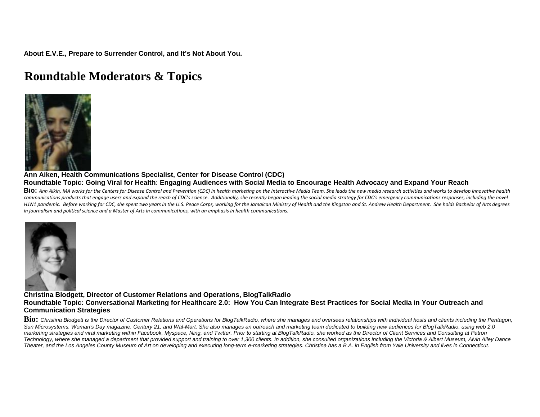**About E.V.E., Prepare to Surrender Control, and It's Not About You.**

# **Roundtable Moderators & Topics**



### **Ann Aiken, Health Communications Specialist, Center for Disease Control (CDC) Roundtable Topic: Going Viral for Health: Engaging Audiences with Social Media to Encourage Health Advocacy and Expand Your Reach**

BiO: Ann Aikin, MA works for the Centers for Disease Control and Prevention (CDC) in health marketing on the Interactive Media Team. She leads the new media research activities and works to develop innovative health communications products that engage users and expand the reach of CDC's science. Additionally, she recently began leading the social media strategy for CDC's emergency communications responses, including the novel H1N1 pandemic. Before working for CDC, she spent two years in the U.S. Peace Corps, working for the Jamaican Ministry of Health and the Kingston and St. Andrew Health Department. She holds Bachelor of Arts degrees in journalism and political science and a Master of Arts in communications, with an emphasis in health communications.



#### **Christina Blodgett, Director of Customer Relations and Operations, BlogTalkRadio Roundtable Topic: Conversational Marketing for Healthcare 2.0: How You Can Integrate Best Practices for Social Media in Your Outreach and Communication Strategies**

**Bio:** *Christina Blodgett is the Director of Customer Relations and Operations for BlogTalkRadio, where she manages and oversees relationships with individual hosts and clients including the Pentagon, Sun Microsystems, Woman's Day magazine, Century 21, and Wal-Mart. She also manages an outreach and marketing team dedicated to building new audiences for BlogTalkRadio, using web 2.0 marketing strategies and viral marketing within Facebook, Myspace, Ning, and Twitter. Prior to starting at BlogTalkRadio, she worked as the Director of Client Services and Consulting at Patron Technology, where she managed a department that provided support and training to over 1,300 clients. In addition, she consulted organizations including the Victoria & Albert Museum, Alvin Ailey Dance Theater, and the Los Angeles County Museum of Art on developing and executing long-term e-marketing strategies. Christina has a B.A. in English from Yale University and lives in Connecticut.*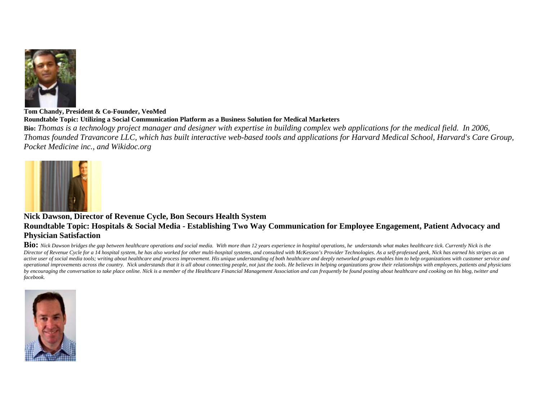

#### **Tom Chandy, President & Co-Founder, VeoMed Roundtable Topic: Utilizing a Social Communication Platform as a Business Solution for Medical Marketers**

**Bio:** *Thomas is a technology project manager and designer with expertise in building complex web applications for the medical field. In 2006, Thomas founded Travancore LLC, which has built interactive web-based tools and applications for Harvard Medical School, Harvard's Care Group, Pocket Medicine inc., and Wikidoc.org* 



## **Nick Dawson, Director of Revenue Cycle, Bon Secours Health System Roundtable Topic: Hospitals & Social Media - Establishing Two Way Communication for Employee Engagement, Patient Advocacy and Physician Satisfaction**

**Bio:** *Nick Dawson bridges the gap between healthcare operations and social media. With more than 12 years experience in hospital operations, he understands what makes healthcare tick. Currently Nick is the*  Director of Revenue Cycle for a 14 hospital system, he has also worked for other multi-hospital systems, and consulted with McKesson's Provider Technologies. As a self-professed geek, Nick has earned his stripes as an *active user of social media tools; writing about healthcare and process improvement. His unique understanding of both healthcare and deeply networked groups enables him to help organizations with customer service and*  operational improvements across the country. Nick understands that it is all about connecting people, not just the tools. He believes in helping organizations grow their relationships with employees, patients and physician *by encouraging the conversation to take place online. Nick is a member of the Healthcare Financial Management Association and can frequently be found posting about healthcare and cooking on his blog, twitter and facebook.* 

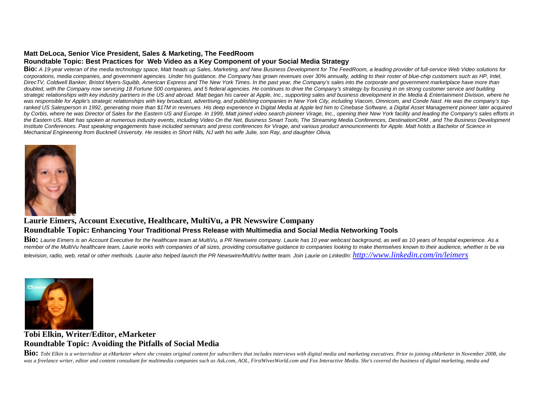## **Matt DeLoca, Senior Vice President, Sales & Marketing, The FeedRoom**

## **Roundtable Topic: Best Practices for Web Video as a Key Component of your Social Media Strategy**

**Bio:** *A 19-year veteran of the media technology space, Matt heads up Sales, Marketing, and New Business Development for The FeedRoom, a leading provider of full-service Web Video solutions for corporations, media companies, and government agencies. Under his guidance, the Company has grown revenues over 30% annually, adding to their roster of blue-chip customers such as HP, Intel, DirecTV, Coldwell Banker, Bristol Myers-Squibb, American Express and The New York Times. In the past year, the Company's sales into the corporate and government marketplace have more than*  doubled, with the Company now servicing 18 Fortune 500 companies, and 5 federal agencies. He continues to drive the Company's strategy by focusing in on strong customer service and building *strategic relationships with key industry partners in the US and abroad. Matt began his career at Apple, Inc., supporting sales and business development in the Media & Entertainment Division, where he*  was responsible for Apple's strategic relationships with key broadcast, advertising, and publishing companies in New York City, including Viacom, Omnicom, and Conde Nast. He was the company's topranked US Salesperson in 1992, generating more than \$17M in revenues. His deep experience in Digital Media at Apple led him to Cinebase Software, a Digital Asset Management pioneer later acquired *by Corbis, where he was Director of Sales for the Eastern US and Europe. In 1999, Matt joined video search pioneer Virage, Inc., opening their New York facility and leading the Company's sales efforts in*  the Eastern US. Matt has spoken at numerous industry events, including Video On the Net, Business Smart Tools, The Streaming Media Conferences, DestinationCRM , and The Business Development *Institute Conferences. Past speaking engagements have included seminars and press conferences for Virage, and various product announcements for Apple. Matt holds a Bachelor of Science in Mechanical Engineering from Bucknell University. He resides in Short Hills, NJ with his wife Julie, son Ray, and daughter Olivia.*



## **Laurie Eimers, Account Executive, Healthcare, MultiVu, a PR Newswire Company**

## **Roundtable Topic: Enhancing Your Traditional Press Release with Multimedia and Social Media Networking Tools**

Bio: Laurie Eimers is an Account Executive for the healthcare team at MultiVu, a PR Newswire company. Laurie has 10 year webcast background, as well as 10 years of hospital experience. As a *member of the MultiVu healthcare team, Laurie works with companies of all sizes, providing consultative guidance to companies looking to make themselves known to their audience, whether is be via television, radio, web, retail or other methods. Laurie also helped launch the PR Newswire/MultiVu twitter team. Join Laurie on LinkedIn: http://www.linkedin.com/in/leimers*



## **Tobi Elkin, Writer/Editor, eMarketer Roundtable Topic: Avoiding the Pitfalls of Social Media**

**Bio:** Tobi Elkin is a writer/editor at eMarketer where she creates original content for subscribers that includes interviews with digital media and marketing executives. Prior to joining eMarketer in November 2008, she was a freelance writer, editor and content consultant for multimedia companies such as Ask.com, AOL, FirstWivesWorld.com and Fox Interactive Media. She's covered the business of digital marketing, media and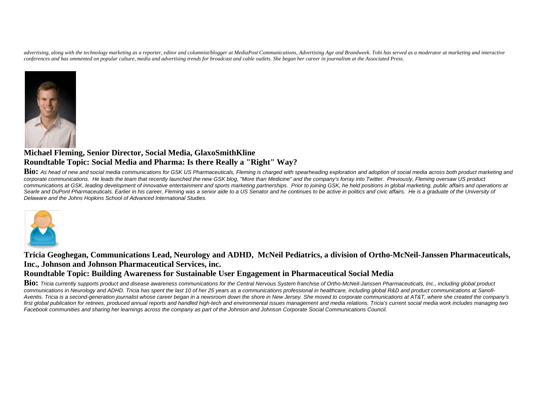*advertising, along with the technology marketing as a reporter, editor and columnist/blogger at MediaPost Communications, Advertising Age and Brandweek. Tobi has served as a moderator at marketing and interactive conferences and has ommented on popular culture, media and advertising trends for broadcast and cable outlets. She began her career in journalism at the Associated Press.*



## **Michael Fleming, Senior Director, Social Media, GlaxoSmithKline Roundtable Topic: Social Media and Pharma: Is there Really a "Right" Way?**

**Bio:** *As head of new and social media communications for GSK US Pharmaceuticals, Fleming is charged with spearheading exploration and adoption of social media across both product marketing and corporate communications. He leads the team that recently launched the new GSK blog, "More than Medicine" and the company's forray into Twitter. Previously, Fleming oversaw US product*  communications at GSK, leading development of innovative entertainment and sports marketing partnerships. Prior to joining GSK, he held positions in global marketing, public affairs and operations at Searle and DuPont Pharmaceuticals. Earlier in his career, Fleming was a senior aide to a US Senator and he continues to be active in politics and civic affairs. He is a graduate of the University of *Delaware and the Johns Hopkins School of Advanced International Studies.*



**Tricia Geoghegan, Communications Lead, Neurology and ADHD, McNeil Pediatrics, a division of Ortho-McNeil-Janssen Pharmaceuticals, Inc., Johnson and Johnson Pharmaceutical Services, inc.** 

## **Roundtable Topic: Building Awareness for Sustainable User Engagement in Pharmaceutical Social Media**

**Bio:** *Tricia currently supports product and disease awareness communications for the Central Nervous System franchise of Ortho-McNeil-Janssen Pharmaceuticals, Inc., including global product communications in Neurology and ADHD. Tricia has spent the last 10 of her 25 years as a communications professional in healthcare, including global R&D and product communications at Sanofi-Aventis. Tricia is a second-generation journalist whose career began in a newsroom down the shore in New Jersey. She moved to corporate communications at AT&T, where she created the company's*  first global publication for retirees, produced annual reports and handled high-tech and environmental issues management and media relations. Tricia's current social media work includes managing two *Facebook communities and sharing her learnings across the company as part of the Johnson and Johnson Corporate Social Communications Council.*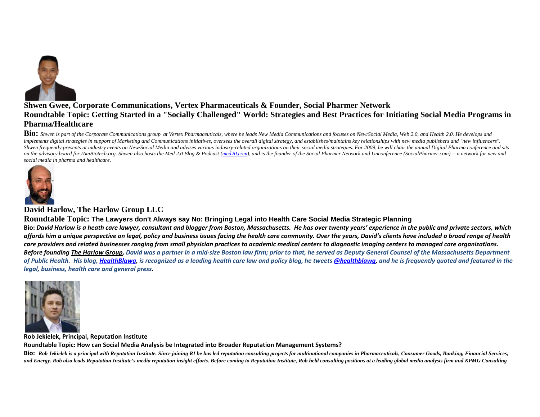

## **Shwen Gwee, Corporate Communications, Vertex Pharmaceuticals & Founder, Social Pharmer Network Roundtable Topic: Getting Started in a "Socially Challenged" World: Strategies and Best Practices for Initiating Social Media Programs in Pharma/Healthcare**

**Bio:** *Shwen is part of the Corporate Communications group at Vertex Pharmaceuticals, where he leads New Media Communications and focuses on New/Social Media, Web 2.0, and Health 2.0. He develops and*  implements digital strategies in support of Marketing and Communications initiatives, oversees the overall digital strategy, and establishes/maintains key relationships with new media publishers and "new influencers". Shwen frequently presents at industry events on New/Social Media and advises various industry-related organizations on their social media strategies. For 2009, he will chair the annual Digital Pharma conference and sits *on the advisory board for IAmBiotech.org. Shwen also hosts the Med 2.0 Blog & Podcast (med20.com), and is the founder of the Social Pharmer Network and Unconference (SocialPharmer.com) -- a network for new and social media in pharma and healthcare.*



## **David Harlow, The Harlow Group LLC**

#### **Roundtable Topic: The Lawyers don't Always say No: Bringing Legal into Health Care Social Media Strategic Planning**

Bio: David Harlow is a heath care lawyer, consultant and blogger from Boston, Massachusetts. He has over twenty years' experience in the public and private sectors, which affords him a unique perspective on legal, policy and business issues facing the health care community. Over the years, David's clients have included a broad range of health care providers and related businesses ranging from small physician practices to academic medical centers to diagnostic imaging centers to managed care organizations. Before founding The Harlow Group, David was a partner in a mid-size Boston law firm; prior to that, he served as Deputy General Counsel of the Massachusetts Department of Public Health. His blog, HealthBlawg, is recognized as a leading health care law and policy blog, he tweets @healthblawg, and he is frequently quoted and featured in the *legal, business, health care and general press.*



**Rob Jekielek, Principal, Reputation Institute Roundtable Topic: How can Social Media Analysis be Integrated into Broader Reputation Management Systems?**

BiO: Rob Jekielek is a principal with Reputation Institute. Since joining RI he has led reputation consulting projects for multinational companies in Pharmaceuticals, Consumer Goods, Banking, Financial Services, and Energy. Rob also leads Reputation Institute's media reputation insight efforts. Before coming to Reputation Institute, Rob held consulting positions at a leading global media analysis firm and KPMG Consulting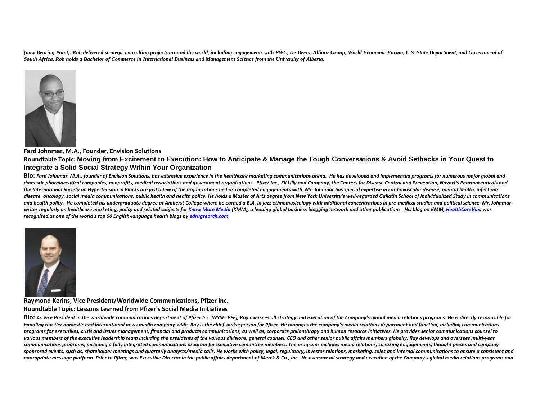*(now Bearing Point). Rob delivered strategic consulting projects around the world, including engagements with PWC, De Beers, Allianz Group, World Economic Forum, U.S. State Department, and Government of South Africa. Rob holds a Bachelor of Commerce in International Business and Management Science from the University of Alberta.*



#### **Fard Johnmar, M.A., Founder, Envision Solutions**

#### **Roundtable Topic: Moving from Excitement to Execution: How to Anticipate & Manage the Tough Conversations & Avoid Setbacks in Your Quest to Integrate a Solid Social Strategy Within Your Organization**

BiO: Fard Johnmar, M.A., founder of Envision Solutions, has extensive experience in the healthcare marketing communications arena. He has developed and implemented programs for numerous major global and domestic pharmaceutical companies, nonprofits, medical associations and government organizations. Pfizer Inc., Eli Lilly and Company, the Centers for Disease Control and Prevention, Novartis Pharmaceuticals and the International Society on Hypertension in Blacks are just a few of the organizations he has completed engagements with. Mr. Johnmar has special expertise in cardiovascular disease, mental health, infectious disease, oncology, social media communications, public health and health policy. He holds a Master of Arts degree from New York University's well-regarded Gallatin School of Individualized Study in communications and health policy. He completed his undergraduate degree at Amherst College where he earned a B.A. in jazz ethnomusicology with additional concentrations in pre-medical studies and political science. Mr. Johnmar writes regularly on healthcare marketing, policy and related subjects for <u>Know More Media</u> (KMM), a leading global business blogging network and other publications. His blog on KMM, <u>HealthCareVox</u>, was *recognized as one of the world's top 50 English‐language health blogs by edrugsearch.com.*



#### **Raymond Kerins, Vice President/Worldwide Communications, Pfizer Inc. Roundtable Topic: Lessons Learned from Pfizer's Social Media Initiatives**

BiO: As Vice President in the worldwide communications department of Pfizer Inc. (NYSE: PFE), Ray oversees all strategy and execution of the Company's global media relations programs. He is directly responsible for handling top-tier domestic and international news media company-wide. Ray is the chief spokesperson for Pfizer. He manages the company's media relations department and function, including communications programs for executives, crisis and issues management, financial and products communications, as well as, corporate philanthropy and human resource initiatives. He provides senior communications counsel to various members of the executive leadership team including the presidents of the various divisions, general counsel, CEO and other senior public affairs members globally. Ray develops and oversees multi-year communications programs, including a fully integrated communications program for executive committee members. The programs includes media relations, speaking engagements, thought pieces and company sponsored events, such as, shareholder meetings and quarterly analysts/media calls. He works with policy, legal, requlatory, investor relations, marketing, sales and internal communications to ensure a consistent and appropriate message platform. Prior to Pfizer, was Executive Director in the public affairs department of Merck & Co., Inc. He oversaw all strategy and execution of the Company's global media relations programs and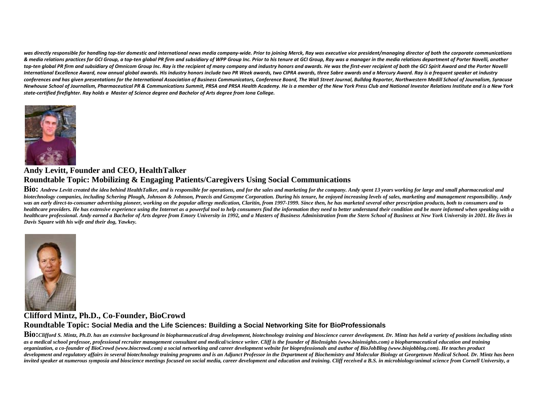was directly responsible for handling top-tier domestic and international news media company-wide. Prior to joining Merck, Ray was executive vice president/managing director of both the corporate communications & media relations practices for GCI Group, a top-ten global PR firm and subsidiary of WPP Group Inc. Prior to his tenure at GCI Group, Ray was a manager in the media relations department of Porter Novelli, another top-ten alobal PR firm and subsidiary of Omnicom Group Inc. Ray is the recipient of many company and industry honors and awards. He was the first-ever recipient of both the GCI Spirit Award and the Porter Novelli International Excellence Award, now annual global awards. His industry honors include two PR Week awards, two CIPRA awards, three Sabre awards and a Mercury Award. Ray is a frequent speaker at industry conferences and has aiven presentations for the International Association of Business Communicators. Conference Board. The Wall Street Journal. Bulldoa Reporter. Northwestern Medill School of Journalism. Syracuse Newhouse School of Journalism, Pharmaceutical PR & Communications Summit, PRSA and PRSA Health Academy. He is a member of the New York Press Club and National Investor Relations Institute and is a New York state-certified firefighter. Ray holds a Master of Science degree and Bachelor of Arts degree from Iona College.



## **Andy Levitt, Founder and CEO, HealthTalker Roundtable Topic: Mobilizing & Engaging Patients/Caregivers Using Social Communications**

**Bio:** *Andrew Levitt created the idea behind HealthTalker, and is responsible for operations, and for the sales and marketing for the company. Andy spent 13 years working for large and small pharmaceutical and biotechnology companies, including Schering Plough, Johnson & Johnson, Praecis and Genzyme Corporation. During his tenure, he enjoyed increasing levels of sales, marketing and management responsibility. Andy*  was an early direct-to-consumer advertising pioneer, working on the popular allergy medication, Claritin, from 1997-1999. Since then, he has marketed several other prescription products, both to consumers and to *healthcare providers. He has extensive experience using the Internet as a powerful tool to help consumers find the information they need to better understand their condition and be more informed when speaking with a healthcare professional. Andy earned a Bachelor of Arts degree from Emory University in 1992, and a Masters of Business Administration from the Stern School of Business at New York University in 2001. He lives in Davis Square with his wife and their dog, Yawkey.*



## **Clifford Mintz, Ph.D., Co-Founder, BioCrowd**

**Roundtable Topic: Social Media and the Life Sciences: Building a Social Networking Site for BioProfessionals** 

Bio: Clifford S. Mintz, Ph.D. has an extensive background in biopharmaceutical drug development, biotechnology training and bioscience career development. Dr. Mintz has held a variety of positions including stints *as a medical school professor, professional recruiter management consultant and medical/science writer. Cliff is the founder of BioInsights (www.bioinsights.com) a biopharmaceutical education and training organization, a co-founder of BioCrowd (www.biocrowd.com) a social networking and career development website for bioprofessionals and author of BioJobBlog (www.biojobblog.com). He teaches product*  development and regulatory affairs in several biotechnology training programs and is an Adjunct Professor in the Department of Biochemistry and Molecular Biology at Georgetown Medical School. Dr. Mintz has been invited speaker at numerous symposia and bioscience meetings focused on social media, career development and education and training. Cliff received a B.S. in microbiology/animal science from Cornell University, a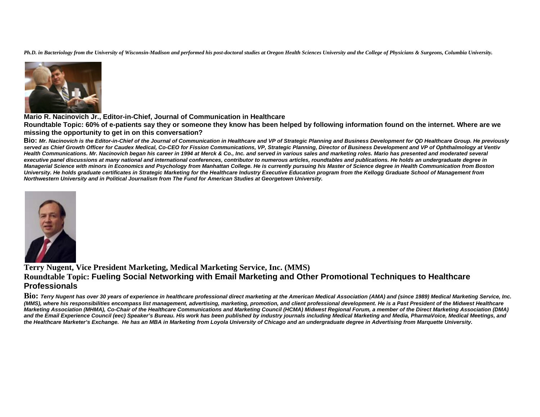*Ph.D. in Bacteriology from the University of Wisconsin-Madison and performed his post-doctoral studies at Oregon Health Sciences University and the College of Physicians & Surgeons, Columbia University.*



**Mario R. Nacinovich Jr., Editor-in-Chief, Journal of Communication in Healthcare** 

**Roundtable Topic: 60% of e-patients say they or someone they know has been helped by following information found on the internet. Where are we missing the opportunity to get in on this conversation?**

**Bio:** *Mr. Nacinovich is the Editor-in-Chief of the Journal of Communication in Healthcare and VP of Strategic Planning and Business Development for QD Healthcare Group. He previously*  served as Chief Growth Officer for Caudex Medical, Co-CEO for Fission Communications, VP, Strategic Planning, Director of Business Development and VP of Ophthalmology at Ventiv *Health Communications. Mr. Nacinovich began his career in 1994 at Merck & Co., Inc. and served in various sales and marketing roles. Mario has presented and moderated several executive panel discussions at many national and international conferences, contributor to numerous articles, roundtables and publications. He holds an undergraduate degree in Managerial Science with minors in Economics and Psychology from Manhattan College. He is currently pursuing his Master of Science degree in Health Communication from Boston University. He holds graduate certificates in Strategic Marketing for the Healthcare Industry Executive Education program from the Kellogg Graduate School of Management from Northwestern University and in Political Journalism from The Fund for American Studies at Georgetown University.*



## **Terry Nugent, Vice President Marketing, Medical Marketing Service, Inc. (MMS) Roundtable Topic: Fueling Social Networking with Email Marketing and Other Promotional Techniques to Healthcare Professionals**

**Bio:** *Terry Nugent has over 30 years of experience in healthcare professional direct marketing at the American Medical Association (AMA) and (since 1989) Medical Marketing Service, Inc. (MMS), where his responsibilities encompass list management, advertising, marketing, promotion, and client professional development. He is a Past President of the Midwest Healthcare Marketing Association (MHMA), Co-Chair of the Healthcare Communications and Marketing Council (HCMA) Midwest Regional Forum, a member of the Direct Marketing Association (DMA) and the Email Experience Council (eec) Speaker's Bureau. His work has been published by industry journals including Medical Marketing and Media, PharmaVoice, Medical Meetings, and the Healthcare Marketer's Exchange. He has an MBA in Marketing from Loyola University of Chicago and an undergraduate degree in Advertising from Marquette University.*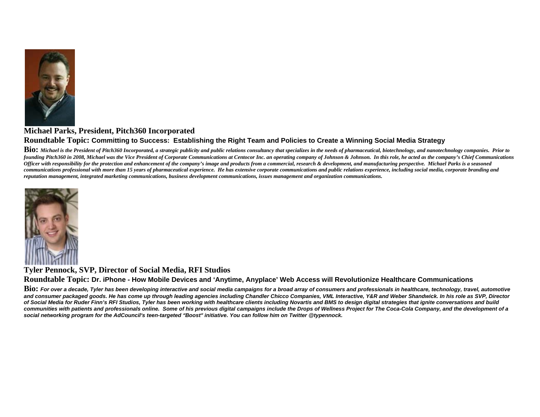

## **Michael Parks, President, Pitch360 Incorporated Roundtable Topic: Committing to Success: Establishing the Right Team and Policies to Create a Winning Social Media Strategy**

Bio: Michael is the President of Pitch360 Incorporated, a strategic publicity and public relations consultancy that specializes in the needs of pharmaceutical, biotechnology, and nanotechnology companies. Prior to *founding Pitch360 in 2008, Michael was the Vice President of Corporate Communications at Centocor Inc. an operating company of Johnson & Johnson. In this role, he acted as the company's Chief Communications Officer with responsibility for the protection and enhancement of the company's image and products from a commercial, research & development, and manufacturing perspective. Michael Parks is a seasoned communications professional with more than 15 years of pharmaceutical experience. He has extensive corporate communications and public relations experience, including social media, corporate branding and reputation management, integrated marketing communications, business development communications, issues management and organization communications.* 



**Tyler Pennock, SVP, Director of Social Media, RFI Studios Roundtable Topic: Dr. iPhone - How Mobile Devices and 'Anytime, Anyplace' Web Access will Revolutionize Healthcare Communications**

**Bio:** *For over a decade, Tyler has been developing interactive and social media campaigns for a broad array of consumers and professionals in healthcare, technology, travel, automotive and consumer packaged goods. He has come up through leading agencies including Chandler Chicco Companies, VML Interactive, Y&R and Weber Shandwick. In his role as SVP, Director of Social Media for Ruder Finn's RFI Studios, Tyler has been working with healthcare clients including Novartis and BMS to design digital strategies that ignite conversations and build communities with patients and professionals online. Some of his previous digital campaigns include the Drops of Wellness Project for The Coca-Cola Company, and the development of a social networking program for the AdCouncil's teen-targeted "Boost" initiative. You can follow him on Twitter @typennock.*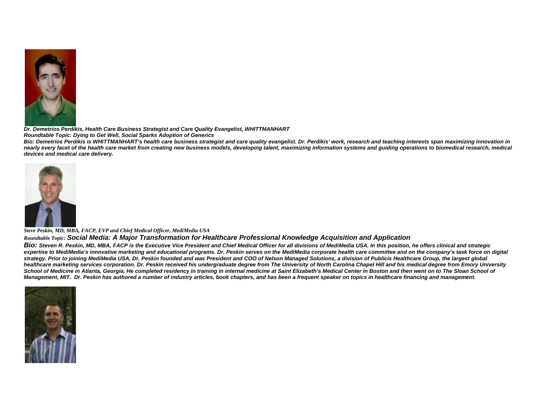

*Dr. Demetrios Perdikis, Health Care Business Strategist and Care Quality Evangelist, WHITTMANHART* 

*Roundtable Topic: Dying to Get Well, Social Sparks Adoption of Generics* 

*Bio: Demetrios Perdikis is WHITTMANHART's health care business strategist and care quality evangelist. Dr. Perdikis' work, research and teaching interests span maximizing innovation in*  nearly every facet of the health care market from creating new business models, developing talent, maximizing information systems and guiding operations to biomedical research, medical *devices and medical care delivery.* 



*Steve Peskin, MD, MBA, FACP, EVP and Chief Medical Officer, MediMedia USA* 

#### *Roundtable Topic: Social Media: A Major Transformation for Healthcare Professional Knowledge Acquisition and Application*

*Bio: Steven R. Peskin, MD, MBA, FACP is the Executive Vice President and Chief Medical Officer for all divisions of MediMedia USA. In this position, he offers clinical and strategic*  expertise to MediMedia's innovative marketing and educational programs. Dr. Peskin serves on the MediMedia corporate health care committee and on the company's task force on digital *strategy. Prior to joining MediMedia USA, Dr. Peskin founded and was President and COO of Nelson Managed Solutions, a division of Publicis Healthcare Group, the largest global healthcare marketing services corporation. Dr. Peskin received his undergraduate degree from The University of North Carolina Chapel Hill and his medical degree from Emory University*  School of Medicine in Atlanta, Georgia. He completed residency in training in internal medicine at Saint Elizabeth's Medical Center in Boston and then went on to The Sloan School of *Management, MIT. Dr. Peskin has authored a number of industry articles, book chapters, and has been a frequent speaker on topics in healthcare financing and management.*

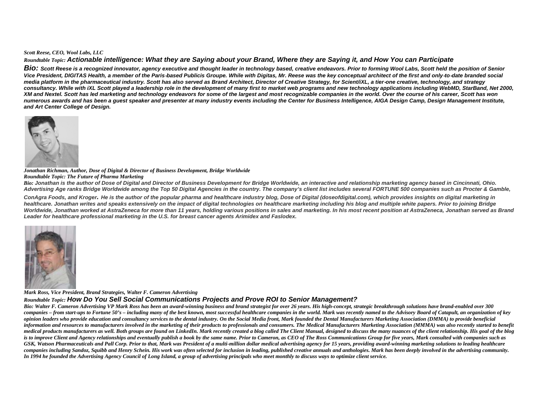#### *Scott Reese, CEO, Wool Labs, LLC*

#### *Roundtable Topic: Actionable intelligence: What they are Saying about your Brand, Where they are Saying it, and How You can Participate*

*Bio: Scott Reese is a recognized innovator, agency executive and thought leader in technology based, creative endeavors. Prior to forming Wool Labs, Scott held the position of Senior Vice President, DIGITAS Health, a member of the Paris*‐*based Publicis Groupe. While with Digitas, Mr. Reese was the key conceptual architect of the first and only*‐*to*‐*date branded social*  media platform in the pharmaceutical industry. Scott has also served as Brand Architect, Director of Creative Strategy, for Scient/iXL, a tier-one creative, technology, and strategy consultancy. While with iXL Scott played a leadership role in the development of many first to market web programs and new technology applications including WebMD, StarBand, Net 2000, *XM and Nextel. Scott has led marketing and technology endeavors for some of the largest and most recognizable companies in the world. Over the course of his career, Scott has won numerous awards and has been a guest speaker and presenter at many industry events including the Center for Business Intelligence, AIGA Design Camp, Design Management Institute, and Art Center College of Design.*



*Jonathan Richman, Author, Dose of Digital & Director of Business Development, Bridge Worldwide* 

#### *Roundtable Topic: The Future of Pharma Marketing*

*Bio: Jonathan is the author of Dose of Digital and Director of Business Development for Bridge Worldwide, an interactive and relationship marketing agency based in Cincinnati, Ohio. Advertising Age ranks Bridge Worldwide among the Top 50 Digital Agencies in the country. The company's client list includes several FORTUNE 500 companies such as Procter & Gamble,* 

*ConAgra Foods, and Kroger. He is the author of the popular pharma and healthcare industry blog, Dose of Digital (doseofdigital.com), which provides insights on digital marketing in healthcare. Jonathan writes and speaks extensively on the impact of digital technologies on healthcare marketing including his blog and multiple white papers. Prior to joining Bridge*  Worldwide, Jonathan worked at AstraZeneca for more than 11 years, holding various positions in sales and marketing. In his most recent position at AstraZeneca, Jonathan served as Brand *Leader for healthcare professional marketing in the U.S. for breast cancer agents Arimidex and Faslodex.*



*Mark Ross, Vice President, Brand Strategies, Walter F. Cameron Advertising*

#### *Roundtable Topic: How Do You Sell Social Communications Projects and Prove ROI to Senior Management?*

*Bio: Walter F. Cameron Advertising VP Mark Ross has been an award-winning business and brand strategist for over 26 years. His high-concept, strategic breakthrough solutions have brand-enabled over 300 companies – from start-ups to Fortune 50's – including many of the best known, most successful healthcare companies in the world. Mark was recently named to the Advisory Board of Catapult, an organization of key opinion leaders who provide education and consultancy services to the dental industry. On the Social Media front, Mark founded the Dental Manufacturers Marketing Association (DMMA) to provide beneficial*  information and resources to manufacturers involved in the marketing of their products to professionals and consumers. The Medical Manufacturers Marketing Association (MMMA) was also recently started to benefit *medical products manufacturers as well. Both groups are found on LinkedIn. Mark recently created a blog called The Client Manual, designed to discuss the many nuances of the client relationship. His goal of the blog is to improve Client and Agency relationships and eventually publish a book by the same name. Prior to Cameron, as CEO of The Ross Communications Group for five years, Mark consulted with companies such as*  GSK, Watson Pharmaceuticals and Pall Corp. Prior to that, Mark was President of a multi-million dollar medical advertising agency for 15 years, providing award-winning marketing solutions to leading healthcare *companies including Sandoz, Squibb and Henry Schein. His work was often selected for inclusion in leading, published creative annuals and anthologies. Mark has been deeply involved in the advertising community. In 1994 he founded the Advertising Agency Council of Long Island, a group of advertising principals who meet monthly to discuss ways to optimize client service.*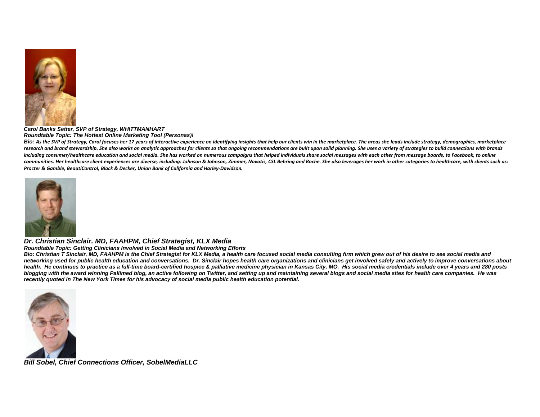

*Carol Banks Setter, SVP of Strategy, WHITTMANHART Roundtable Topic: The Hottest Online Marketing Tool (Personas)!* 

Bio: As the SVP of Strategy, Carol focuses her 17 years of interactive experience on identifying insights that help our clients win in the marketplace. The areas she leads include strategy, demographics, marketplace research and brand stewardship. She also works on analytic approaches for clients so that ongoing recommendations are built upon solid planning. She uses a variety of strategies to build connections with brands including consumer/healthcare education and social media. She has worked on numerous campaigns that helped individuals share social messages with each other from message boards, to Facebook, to online communities. Her healthcare client experiences are diverse, including: Johnson & Johnson, Zimmer, Novatis, CSL Behring and Roche. She also leverages her work in other categories to healthcare, with clients such as: *Procter & Gamble, BeautiControl, Black & Decker, Union Bank of California and Harley‐Davidson.*



*Dr. Christian Sinclair. MD, FAAHPM, Chief Strategist, KLX Media*

*Roundtable Topic: Getting Clinicians Involved in Social Media and Networking Efforts*

*Bio: Christian T Sinclair, MD, FAAHPM is the Chief Strategist for KLX Media, a health care focused social media consulting firm which grew out of his desire to see social media and networking used for public health education and conversations. Dr. Sinclair hopes health care organizations and clinicians get involved safely and actively to improve conversations about health. He continues to practice as a full-time board-certified hospice & palliative medicine physician in Kansas City, MO. His social media credentials include over 4 years and 280 posts blogging with the award winning Pallimed blog, an active following on Twitter, and setting up and maintaining several blogs and social media sites for health care companies. He was recently quoted in The New York Times for his advocacy of social media public health education potential.* 



*Bill Sobel, Chief Connections Officer, SobelMediaLLC*